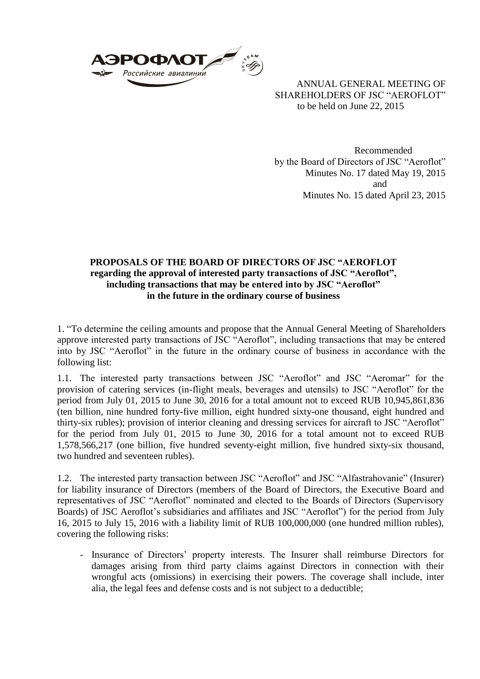

ANNUAL GENERAL MEETING OF SHAREHOLDERS OF JSC "AEROFLOT" to be held on June 22, 2015

Recommended by the Board of Directors of JSC "Aeroflot" Minutes No. 17 dated May 19, 2015 and Minutes No. 15 dated April 23, 2015

## **PROPOSALS OF THE BOARD OF DIRECTORS OF JSC "AEROFLOT regarding the approval of interested party transactions of JSC "Aeroflot", including transactions that may be entered into by JSC "Aeroflot" in the future in the ordinary course of business**

1. "To determine the ceiling amounts and propose that the Annual General Meeting of Shareholders approve interested party transactions of JSC "Aeroflot", including transactions that may be entered into by JSC "Aeroflot" in the future in the ordinary course of business in accordance with the following list:

1.1. The interested party transactions between JSC "Aeroflot" and JSC "Aeromar" for the provision of catering services (in-flight meals, beverages and utensils) to JSC "Aeroflot" for the period from July 01, 2015 to June 30, 2016 for a total amount not to exceed RUB 10,945,861,836 (ten billion, nine hundred forty-five million, eight hundred sixty-one thousand, eight hundred and thirty-six rubles); provision of interior cleaning and dressing services for aircraft to JSC "Aeroflot" for the period from July 01, 2015 to June 30, 2016 for a total amount not to exceed RUB 1,578,566,217 (one billion, five hundred seventy-eight million, five hundred sixty-six thousand, two hundred and seventeen rubles).

1.2. The interested party transaction between JSC "Aeroflot" and JSC "Alfastrahovanie" (Insurer) for liability insurance of Directors (members of the Board of Directors, the Executive Board and representatives of JSC "Aeroflot" nominated and elected to the Boards of Directors (Supervisory Boards) of JSC Aeroflot's subsidiaries and affiliates and JSC "Aeroflot") for the period from July 16, 2015 to July 15, 2016 with a liability limit of RUB 100,000,000 (one hundred million rubles), covering the following risks:

- Insurance of Directors' property interests. The Insurer shall reimburse Directors for damages arising from third party claims against Directors in connection with their wrongful acts (omissions) in exercising their powers. The coverage shall include, inter alia, the legal fees and defense costs and is not subject to a deductible;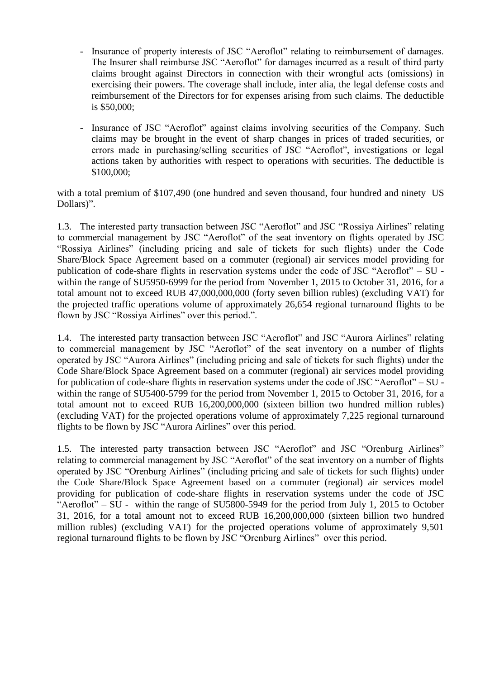- Insurance of property interests of JSC "Aeroflot" relating to reimbursement of damages. The Insurer shall reimburse JSC "Aeroflot" for damages incurred as a result of third party claims brought against Directors in connection with their wrongful acts (omissions) in exercising their powers. The coverage shall include, inter alia, the legal defense costs and reimbursement of the Directors for for expenses arising from such claims. The deductible is \$50,000;
- Insurance of JSC "Aeroflot" against claims involving securities of the Company. Such claims may be brought in the event of sharp changes in prices of traded securities, or errors made in purchasing/selling securities of JSC "Aeroflot", investigations or legal actions taken by authorities with respect to operations with securities. The deductible is \$100,000;

with a total premium of \$107,490 (one hundred and seven thousand, four hundred and ninety US Dollars)".

1.3. The interested party transaction between JSC "Aeroflot" and JSC "Rossiya Airlines" relating to commercial management by JSC "Aeroflot" of the seat inventory on flights operated by JSC "Rossiya Airlines" (including pricing and sale of tickets for such flights) under the Code Share/Block Space Agreement based on a commuter (regional) air services model providing for publication of code-share flights in reservation systems under the code of JSC "Aeroflot" – SU within the range of SU5950-6999 for the period from November 1, 2015 to October 31, 2016, for a total amount not to exceed RUB 47,000,000,000 (forty seven billion rubles) (excluding VAT) for the projected traffic operations volume of approximately 26,654 regional turnaround flights to be flown by JSC "Rossiya Airlines" over this period.".

1.4. The interested party transaction between JSC "Aeroflot" and JSC "Aurora Airlines" relating to commercial management by JSC "Aeroflot" of the seat inventory on a number of flights operated by JSC "Aurora Airlines" (including pricing and sale of tickets for such flights) under the Code Share/Block Space Agreement based on a commuter (regional) air services model providing for publication of code-share flights in reservation systems under the code of JSC "Aeroflot" – SU within the range of SU5400-5799 for the period from November 1, 2015 to October 31, 2016, for a total amount not to exceed RUB 16,200,000,000 (sixteen billion two hundred million rubles) (excluding VAT) for the projected operations volume of approximately 7,225 regional turnaround flights to be flown by JSC "Aurora Airlines" over this period.

1.5. The interested party transaction between JSC "Aeroflot" and JSC "Orenburg Airlines" relating to commercial management by JSC "Aeroflot" of the seat inventory on a number of flights operated by JSC "Orenburg Airlines" (including pricing and sale of tickets for such flights) under the Code Share/Block Space Agreement based on a commuter (regional) air services model providing for publication of code-share flights in reservation systems under the code of JSC "Aeroflot" – SU - within the range of SU5800-5949 for the period from July 1, 2015 to October 31, 2016, for a total amount not to exceed RUB 16,200,000,000 (sixteen billion two hundred million rubles) (excluding VAT) for the projected operations volume of approximately 9,501 regional turnaround flights to be flown by JSC "Orenburg Airlines" over this period.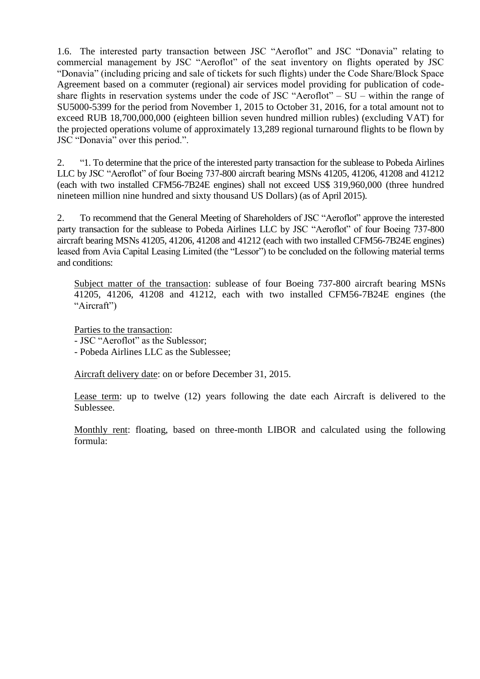1.6. The interested party transaction between JSC "Aeroflot" and JSC "Donavia" relating to commercial management by JSC "Aeroflot" of the seat inventory on flights operated by JSC "Donavia" (including pricing and sale of tickets for such flights) under the Code Share/Block Space Agreement based on a commuter (regional) air services model providing for publication of codeshare flights in reservation systems under the code of JSC "Aeroflot" – SU – within the range of SU5000-5399 for the period from November 1, 2015 to October 31, 2016, for a total amount not to exceed RUB 18,700,000,000 (eighteen billion seven hundred million rubles) (excluding VAT) for the projected operations volume of approximately 13,289 regional turnaround flights to be flown by JSC "Donavia" over this period.".

2. "1. To determine that the price of the interested party transaction for the sublease to Pobeda Airlines LLC by JSC "Aeroflot" of four Boeing 737-800 aircraft bearing MSNs 41205, 41206, 41208 and 41212 (each with two installed CFM56-7B24E engines) shall not exceed US\$ 319,960,000 (three hundred nineteen million nine hundred and sixty thousand US Dollars) (as of April 2015).

2. To recommend that the General Meeting of Shareholders of JSC "Aeroflot" approve the interested party transaction for the sublease to Pobeda Airlines LLC by JSC "Aeroflot" of four Boeing 737-800 aircraft bearing MSNs 41205, 41206, 41208 and 41212 (each with two installed CFM56-7B24E engines) leased from Avia Capital Leasing Limited (the "Lessor") to be concluded on the following material terms and conditions:

Subject matter of the transaction: sublease of four Boeing 737-800 aircraft bearing MSNs 41205, 41206, 41208 and 41212, each with two installed CFM56-7B24E engines (the "Aircraft")

Parties to the transaction:

- JSC "Aeroflot" as the Sublessor;

- Pobeda Airlines LLC as the Sublessee;

Aircraft delivery date: on or before December 31, 2015.

Lease term: up to twelve (12) years following the date each Aircraft is delivered to the Sublessee.

Monthly rent: floating, based on three-month LIBOR and calculated using the following formula: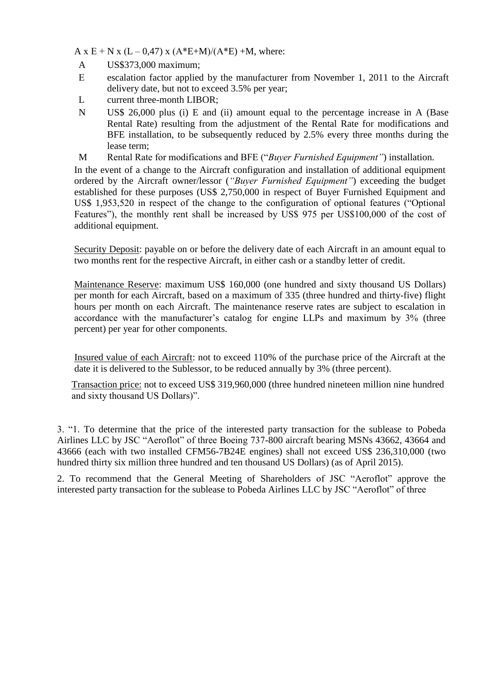A x E + N x (L – 0,47) x (A\*E+M)/(A\*E) +M, where:

- A US\$373,000 maximum;
- Е escalation factor applied by the manufacturer from November 1, 2011 to the Aircraft delivery date, but not to exceed 3.5% per year;
- L current three-month LIBOR;
- N US\$ 26,000 plus (i) E and (ii) amount equal to the percentage increase in A (Base Rental Rate) resulting from the adjustment of the Rental Rate for modifications and BFE installation, to be subsequently reduced by 2.5% every three months during the lease term;
- M Rental Rate for modifications and BFE ("*Buyer Furnished Equipment"*) installation.

In the event of a change to the Aircraft configuration and installation of additional equipment ordered by the Aircraft owner/lessor (*"Buyer Furnished Equipment"*) exceeding the budget established for these purposes (US\$ 2,750,000 in respect of Buyer Furnished Equipment and US\$ 1,953,520 in respect of the change to the configuration of optional features ("Optional Features"), the monthly rent shall be increased by US\$ 975 per US\$100,000 of the cost of additional equipment.

Security Deposit: payable on or before the delivery date of each Aircraft in an amount equal to two months rent for the respective Aircraft, in either cash or a standby letter of credit.

Maintenance Reserve: maximum US\$ 160,000 (one hundred and sixty thousand US Dollars) per month for each Aircraft, based on a maximum of 335 (three hundred and thirty-five) flight hours per month on each Aircraft. The maintenance reserve rates are subject to escalation in accordance with the manufacturer's catalog for engine LLPs and maximum by 3% (three percent) per year for other components.

Insured value of each Aircraft: not to exceed 110% of the purchase price of the Aircraft at the date it is delivered to the Sublessor, to be reduced annually by 3% (three percent).

Transaction price: not to exceed US\$ 319,960,000 (three hundred nineteen million nine hundred and sixty thousand US Dollars)".

3. "1. To determine that the price of the interested party transaction for the sublease to Pobeda Airlines LLC by JSC "Aeroflot" of three Boeing 737-800 aircraft bearing MSNs 43662, 43664 and 43666 (each with two installed CFM56-7B24E engines) shall not exceed US\$ 236,310,000 (two hundred thirty six million three hundred and ten thousand US Dollars) (as of April 2015).

2. To recommend that the General Meeting of Shareholders of JSC "Aeroflot" approve the interested party transaction for the sublease to Pobeda Airlines LLC by JSC "Aeroflot" of three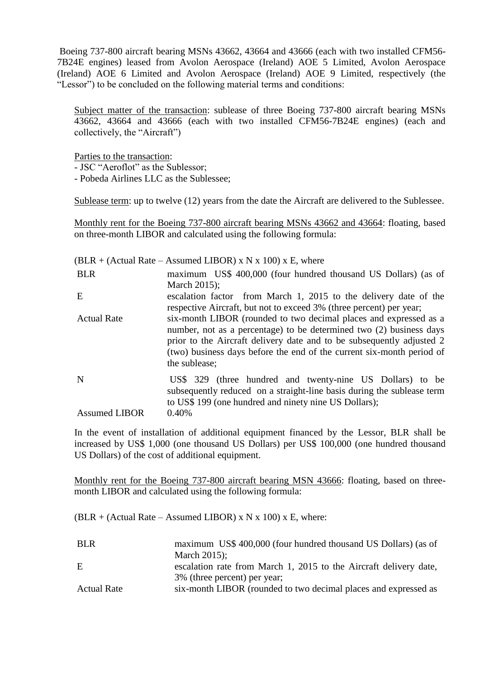Boeing 737-800 aircraft bearing MSNs 43662, 43664 and 43666 (each with two installed CFM56- 7B24E engines) leased from Avolon Aerospace (Ireland) AOE 5 Limited, Avolon Aerospace (Ireland) AOE 6 Limited and Avolon Aerospace (Ireland) AOE 9 Limited, respectively (the "Lessor") to be concluded on the following material terms and conditions:

Subject matter of the transaction: sublease of three Boeing 737-800 aircraft bearing MSNs 43662, 43664 and 43666 (each with two installed CFM56-7B24E engines) (each and collectively, the "Aircraft")

Parties to the transaction: - JSC "Aeroflot" as the Sublessor; - Pobeda Airlines LLC as the Sublessee;

Sublease term: up to twelve (12) years from the date the Aircraft are delivered to the Sublessee.

Monthly rent for the Boeing 737-800 aircraft bearing MSNs 43662 and 43664: floating, based on three-month LIBOR and calculated using the following formula:

|                           | $BLR + (Actual Rate - Assumed LIBOR) \times N \times 100$ x E, where                                                                                                                                                                                                                                        |
|---------------------------|-------------------------------------------------------------------------------------------------------------------------------------------------------------------------------------------------------------------------------------------------------------------------------------------------------------|
| <b>BLR</b>                | maximum US\$ 400,000 (four hundred thousand US Dollars) (as of                                                                                                                                                                                                                                              |
|                           | March 2015);                                                                                                                                                                                                                                                                                                |
| E                         | escalation factor from March 1, 2015 to the delivery date of the<br>respective Aircraft, but not to exceed 3% (three percent) per year;                                                                                                                                                                     |
| <b>Actual Rate</b>        | six-month LIBOR (rounded to two decimal places and expressed as a<br>number, not as a percentage) to be determined two (2) business days<br>prior to the Aircraft delivery date and to be subsequently adjusted 2<br>(two) business days before the end of the current six-month period of<br>the sublease; |
| N<br><b>Assumed LIBOR</b> | US\$ 329 (three hundred and twenty-nine US Dollars) to be<br>subsequently reduced on a straight-line basis during the sublease term<br>to US\$ 199 (one hundred and ninety nine US Dollars);<br>0.40%                                                                                                       |
|                           |                                                                                                                                                                                                                                                                                                             |

In the event of installation of additional equipment financed by the Lessor, BLR shall be increased by US\$ 1,000 (one thousand US Dollars) per US\$ 100,000 (one hundred thousand US Dollars) of the cost of additional equipment.

Monthly rent for the Boeing 737-800 aircraft bearing MSN 43666: floating, based on threemonth LIBOR and calculated using the following formula:

 $(BLR + (Actual Rate - Assumed LIBOR) \times N \times 100) \times E$ , where:

| <b>BLR</b>         | maximum US\$ 400,000 (four hundred thousand US Dollars) (as of    |
|--------------------|-------------------------------------------------------------------|
|                    | March $2015$ ;                                                    |
| E                  | escalation rate from March 1, 2015 to the Aircraft delivery date, |
|                    | 3% (three percent) per year;                                      |
| <b>Actual Rate</b> | six-month LIBOR (rounded to two decimal places and expressed as   |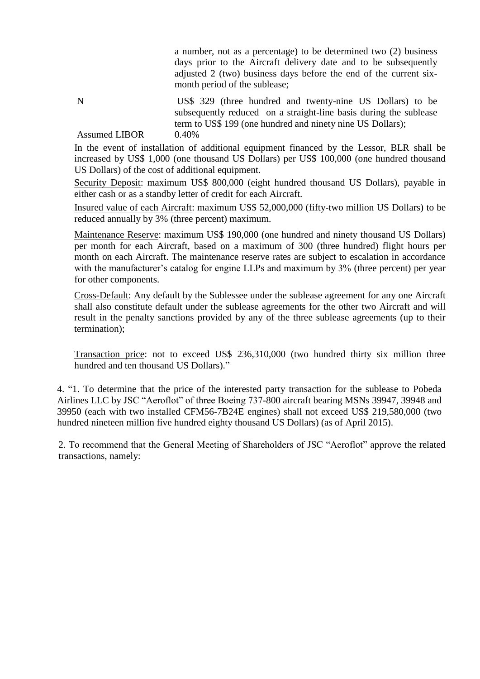a number, not as a percentage) to be determined two (2) business days prior to the Aircraft delivery date and to be subsequently adjusted 2 (two) business days before the end of the current sixmonth period of the sublease;

N US\$ 329 (three hundred and twenty-nine US Dollars) to be subsequently reduced on a straight-line basis during the sublease term to US\$ 199 (one hundred and ninety nine US Dollars); Assumed LIBOR 0.40%

In the event of installation of additional equipment financed by the Lessor, BLR shall be increased by US\$ 1,000 (one thousand US Dollars) per US\$ 100,000 (one hundred thousand US Dollars) of the cost of additional equipment.

Security Deposit: maximum US\$ 800,000 (eight hundred thousand US Dollars), payable in either cash or as a standby letter of credit for each Aircraft.

Insured value of each Aircraft: maximum US\$ 52,000,000 (fifty-two million US Dollars) to be reduced annually by 3% (three percent) maximum.

Maintenance Reserve: maximum US\$ 190,000 (one hundred and ninety thousand US Dollars) per month for each Aircraft, based on a maximum of 300 (three hundred) flight hours per month on each Aircraft. The maintenance reserve rates are subject to escalation in accordance with the manufacturer's catalog for engine LLPs and maximum by  $3\%$  (three percent) per year for other components.

Cross-Default: Any default by the Sublessee under the sublease agreement for any one Aircraft shall also constitute default under the sublease agreements for the other two Aircraft and will result in the penalty sanctions provided by any of the three sublease agreements (up to their termination);

Transaction price: not to exceed US\$ 236,310,000 (two hundred thirty six million three hundred and ten thousand US Dollars)."

4. "1. To determine that the price of the interested party transaction for the sublease to Pobeda Airlines LLC by JSC "Aeroflot" of three Boeing 737-800 aircraft bearing MSNs 39947, 39948 and 39950 (each with two installed CFM56-7B24E engines) shall not exceed US\$ 219,580,000 (two hundred nineteen million five hundred eighty thousand US Dollars) (as of April 2015).

2. To recommend that the General Meeting of Shareholders of JSC "Aeroflot" approve the related transactions, namely: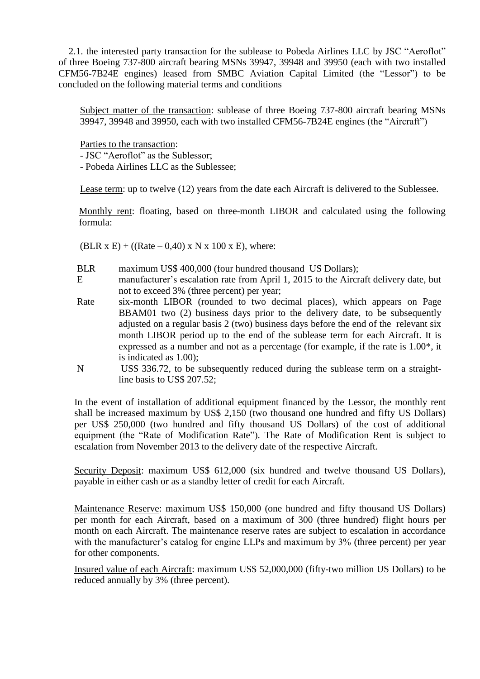2.1. the interested party transaction for the sublease to Pobeda Airlines LLC by JSC "Aeroflot" of three Boeing 737-800 aircraft bearing MSNs 39947, 39948 and 39950 (each with two installed CFM56-7B24E engines) leased from SMBC Aviation Capital Limited (the "Lessor") to be concluded on the following material terms and conditions

Subject matter of the transaction: sublease of three Boeing 737-800 aircraft bearing MSNs 39947, 39948 and 39950, each with two installed CFM56-7B24E engines (the "Aircraft")

Parties to the transaction:

- JSC "Aeroflot" as the Sublessor;

- Pobeda Airlines LLC as the Sublessee;

Lease term: up to twelve (12) years from the date each Aircraft is delivered to the Sublessee.

Monthly rent: floating, based on three-month LIBOR and calculated using the following formula:

(BLR x E) + ((Rate – 0,40) x N x 100 x E), where:

- BLR maximum US\$ 400,000 (four hundred thousand US Dollars);
- E manufacturer's escalation rate from April 1, 2015 to the Aircraft delivery date, but not to exceed 3% (three percent) per year;
- Rate six-month LIBOR (rounded to two decimal places), which appears on Page BBAM01 two (2) business days prior to the delivery date, to be subsequently adjusted on a regular basis 2 (two) business days before the end of the relevant six month LIBOR period up to the end of the sublease term for each Aircraft. It is expressed as a number and not as a percentage (for example, if the rate is 1.00\*, it is indicated as 1.00);
- N US\$ 336.72, to be subsequently reduced during the sublease term on a straightline basis to US\$ 207.52;

In the event of installation of additional equipment financed by the Lessor, the monthly rent shall be increased maximum by US\$ 2,150 (two thousand one hundred and fifty US Dollars) per US\$ 250,000 (two hundred and fifty thousand US Dollars) of the cost of additional equipment (the "Rate of Modification Rate"). The Rate of Modification Rent is subject to escalation from November 2013 to the delivery date of the respective Aircraft.

Security Deposit: maximum US\$ 612,000 (six hundred and twelve thousand US Dollars), payable in either cash or as a standby letter of credit for each Aircraft.

Maintenance Reserve: maximum US\$ 150,000 (one hundred and fifty thousand US Dollars) per month for each Aircraft, based on a maximum of 300 (three hundred) flight hours per month on each Aircraft. The maintenance reserve rates are subject to escalation in accordance with the manufacturer's catalog for engine LLPs and maximum by 3% (three percent) per year for other components.

Insured value of each Aircraft: maximum US\$ 52,000,000 (fifty-two million US Dollars) to be reduced annually by 3% (three percent).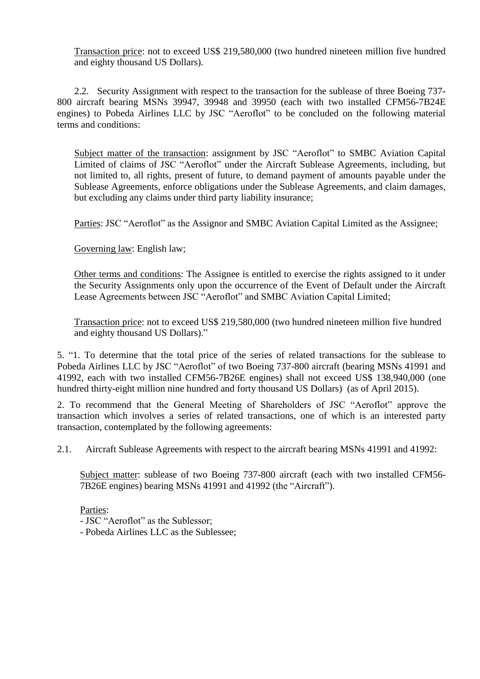Transaction price: not to exceed US\$ 219,580,000 (two hundred nineteen million five hundred and eighty thousand US Dollars).

2.2. Security Assignment with respect to the transaction for the sublease of three Boeing 737- 800 aircraft bearing MSNs 39947, 39948 and 39950 (each with two installed CFM56-7B24E engines) to Pobeda Airlines LLC by JSC "Aeroflot" to be concluded on the following material terms and conditions:

Subject matter of the transaction: assignment by JSC "Aeroflot" to SMBC Aviation Capital Limited of claims of JSC "Aeroflot" under the Aircraft Sublease Agreements, including, but not limited to, all rights, present of future, to demand payment of amounts payable under the Sublease Agreements, enforce obligations under the Sublease Agreements, and claim damages, but excluding any claims under third party liability insurance;

Parties: JSC "Aeroflot" as the Assignor and SMBC Aviation Capital Limited as the Assignee;

Governing law: English law;

Other terms and conditions: The Assignee is entitled to exercise the rights assigned to it under the Security Assignments only upon the occurrence of the Event of Default under the Aircraft Lease Agreements between JSC "Aeroflot" and SMBC Aviation Capital Limited;

Transaction price: not to exceed US\$ 219,580,000 (two hundred nineteen million five hundred and eighty thousand US Dollars)."

5. "1. To determine that the total price of the series of related transactions for the sublease to Pobeda Airlines LLC by JSC "Aeroflot" of two Boeing 737-800 aircraft (bearing MSNs 41991 and 41992, each with two installed CFM56-7B26E engines) shall not exceed US\$ 138,940,000 (one hundred thirty-eight million nine hundred and forty thousand US Dollars) (as of April 2015).

2. To recommend that the General Meeting of Shareholders of JSC "Aeroflot" approve the transaction which involves a series of related transactions, one of which is an interested party transaction, contemplated by the following agreements:

2.1. Aircraft Sublease Agreements with respect to the aircraft bearing MSNs 41991 and 41992:

Subject matter: sublease of two Boeing 737-800 aircraft (each with two installed CFM56- 7B26E engines) bearing MSNs 41991 and 41992 (the "Aircraft").

Parties:

- JSC "Aeroflot" as the Sublessor;
- Pobeda Airlines LLC as the Sublessee;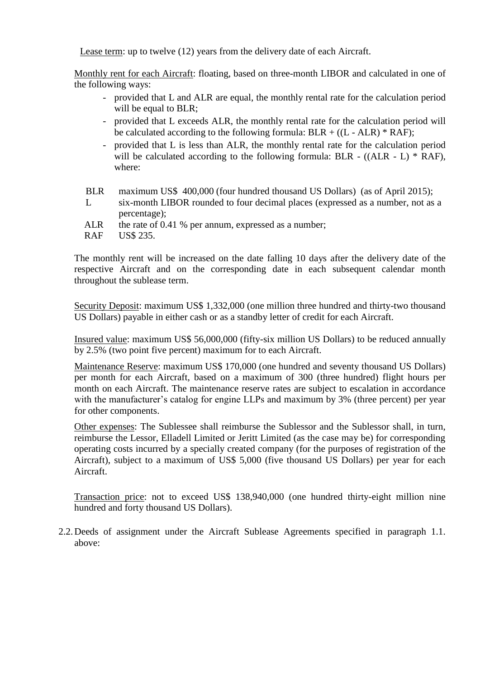Lease term: up to twelve (12) years from the delivery date of each Aircraft.

Monthly rent for each Aircraft: floating, based on three-month LIBOR and calculated in one of the following ways:

- provided that L and ALR are equal, the monthly rental rate for the calculation period will be equal to BLR;
- provided that L exceeds ALR, the monthly rental rate for the calculation period will be calculated according to the following formula:  $BLR + ((L - ALR) * RAF)$ ;
- provided that L is less than ALR, the monthly rental rate for the calculation period will be calculated according to the following formula: BLR  $-$  ((ALR  $-$  L)  $*$  RAF), where:

| BLR<br>maximum US\$ 400,000 (four hundred thousand US Dollars) (as of April 2015); |  |
|------------------------------------------------------------------------------------|--|
|------------------------------------------------------------------------------------|--|

- L six-month LIBOR rounded to four decimal places (expressed as a number, not as a percentage);
- ALR the rate of 0.41 % per annum, expressed as a number;

RAF US\$ 235.

The monthly rent will be increased on the date falling 10 days after the delivery date of the respective Aircraft and on the corresponding date in each subsequent calendar month throughout the sublease term.

Security Deposit: maximum US\$ 1,332,000 (one million three hundred and thirty-two thousand US Dollars) payable in either cash or as a standby letter of credit for each Aircraft.

Insured value: maximum US\$ 56,000,000 (fifty-six million US Dollars) to be reduced annually by 2.5% (two point five percent) maximum for to each Aircraft.

Maintenance Reserve: maximum US\$ 170,000 (one hundred and seventy thousand US Dollars) per month for each Aircraft, based on a maximum of 300 (three hundred) flight hours per month on each Aircraft. The maintenance reserve rates are subject to escalation in accordance with the manufacturer's catalog for engine LLPs and maximum by 3% (three percent) per year for other components.

Other expenses: The Sublessee shall reimburse the Sublessor and the Sublessor shall, in turn, reimburse the Lessor, Elladell Limited or Jeritt Limited (as the case may be) for corresponding operating costs incurred by a specially created company (for the purposes of registration of the Aircraft), subject to a maximum of US\$ 5,000 (five thousand US Dollars) per year for each Aircraft.

Transaction price: not to exceed US\$ 138,940,000 (one hundred thirty-eight million nine hundred and forty thousand US Dollars).

2.2.Deeds of assignment under the Aircraft Sublease Agreements specified in paragraph 1.1. above: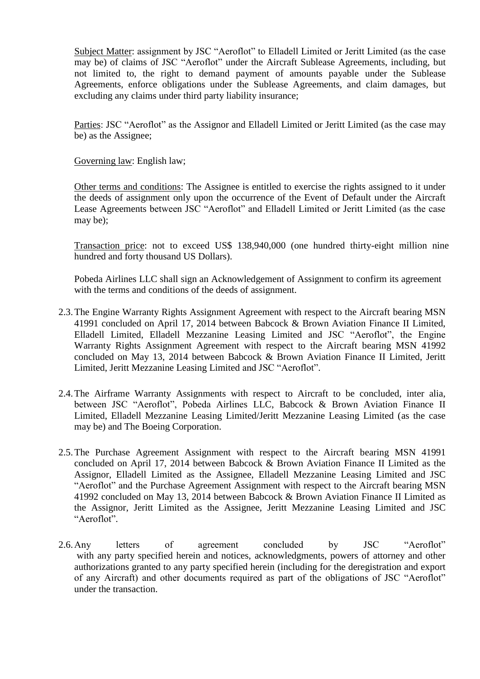Subject Matter: assignment by JSC "Aeroflot" to Elladell Limited or Jeritt Limited (as the case may be) of claims of JSC "Aeroflot" under the Aircraft Sublease Agreements, including, but not limited to, the right to demand payment of amounts payable under the Sublease Agreements, enforce obligations under the Sublease Agreements, and claim damages, but excluding any claims under third party liability insurance;

Parties: JSC "Aeroflot" as the Assignor and Elladell Limited or Jeritt Limited (as the case may be) as the Assignee;

Governing law: English law;

Other terms and conditions: The Assignee is entitled to exercise the rights assigned to it under the deeds of assignment only upon the occurrence of the Event of Default under the Aircraft Lease Agreements between JSC "Aeroflot" and Elladell Limited or Jeritt Limited (as the case may be);

Transaction price: not to exceed US\$ 138,940,000 (one hundred thirty-eight million nine hundred and forty thousand US Dollars).

Pobeda Airlines LLC shall sign an Acknowledgement of Assignment to confirm its agreement with the terms and conditions of the deeds of assignment.

- 2.3.The Engine Warranty Rights Assignment Agreement with respect to the Aircraft bearing MSN 41991 concluded on April 17, 2014 between Babcock & Brown Aviation Finance II Limited, Elladell Limited, Elladell Mezzanine Leasing Limited and JSC "Aeroflot", the Engine Warranty Rights Assignment Agreement with respect to the Aircraft bearing MSN 41992 concluded on May 13, 2014 between Babcock & Brown Aviation Finance II Limited, Jeritt Limited, Jeritt Mezzanine Leasing Limited and JSC "Aeroflot".
- 2.4.The Airframe Warranty Assignments with respect to Aircraft to be concluded, inter alia, between JSC "Aeroflot", Pobeda Airlines LLC, Babcock & Brown Aviation Finance II Limited, Elladell Mezzanine Leasing Limited/Jeritt Mezzanine Leasing Limited (as the case may be) and The Boeing Corporation.
- 2.5.The Purchase Agreement Assignment with respect to the Aircraft bearing MSN 41991 concluded on April 17, 2014 between Babcock & Brown Aviation Finance II Limited as the Assignor, Elladell Limited as the Assignee, Elladell Mezzanine Leasing Limited and JSC "Aeroflot" and the Purchase Agreement Assignment with respect to the Aircraft bearing MSN 41992 concluded on May 13, 2014 between Babcock & Brown Aviation Finance II Limited as the Assignor, Jeritt Limited as the Assignee, Jeritt Mezzanine Leasing Limited and JSC "Aeroflot".
- 2.6.Any letters of agreement concluded by JSC "Aeroflot" with any party specified herein and notices, acknowledgments, powers of attorney and other authorizations granted to any party specified herein (including for the deregistration and export of any Aircraft) and other documents required as part of the obligations of JSC "Aeroflot" under the transaction.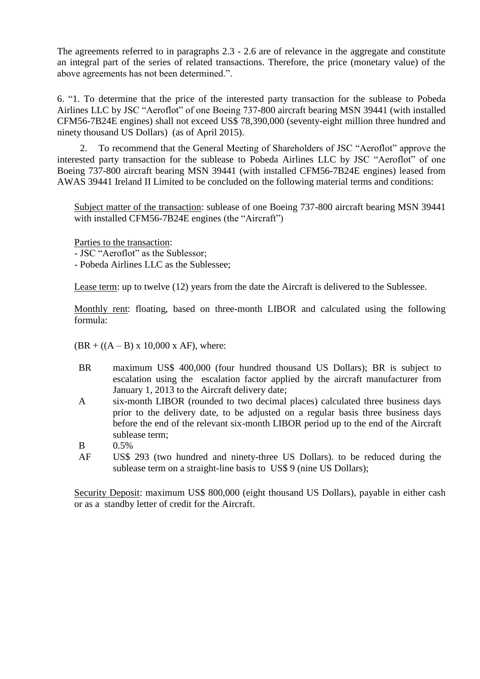The agreements referred to in paragraphs 2.3 - 2.6 are of relevance in the aggregate and constitute an integral part of the series of related transactions. Therefore, the price (monetary value) of the above agreements has not been determined.".

6. "1. To determine that the price of the interested party transaction for the sublease to Pobeda Airlines LLC by JSC "Aeroflot" of one Boeing 737-800 aircraft bearing MSN 39441 (with installed CFM56-7B24E engines) shall not exceed US\$ 78,390,000 (seventy-eight million three hundred and ninety thousand US Dollars) (as of April 2015).

2. To recommend that the General Meeting of Shareholders of JSC "Aeroflot" approve the interested party transaction for the sublease to Pobeda Airlines LLC by JSC "Aeroflot" of one Boeing 737-800 aircraft bearing MSN 39441 (with installed CFM56-7B24E engines) leased from AWAS 39441 Ireland II Limited to be concluded on the following material terms and conditions:

Subject matter of the transaction: sublease of one Boeing 737-800 aircraft bearing MSN 39441 with installed CFM56-7B24E engines (the "Aircraft")

Parties to the transaction:

- JSC "Aeroflot" as the Sublessor;

- Pobeda Airlines LLC as the Sublessee;

Lease term: up to twelve (12) years from the date the Aircraft is delivered to the Sublessee.

Monthly rent: floating, based on three-month LIBOR and calculated using the following formula:

 $(BR + ((A - B) \times 10,000 \times AF))$ , where:

- BR maximum US\$ 400,000 (four hundred thousand US Dollars); BR is subject to escalation using the escalation factor applied by the aircraft manufacturer from January 1, 2013 to the Aircraft delivery date;
- A six-month LIBOR (rounded to two decimal places) calculated three business days prior to the delivery date, to be adjusted on a regular basis three business days before the end of the relevant six-month LIBOR period up to the end of the Aircraft sublease term;
- B 0.5%
- AF US\$ 293 (two hundred and ninety-three US Dollars). to be reduced during the sublease term on a straight-line basis to US\$ 9 (nine US Dollars);

Security Deposit: maximum US\$ 800,000 (eight thousand US Dollars), payable in either cash or as a standby letter of credit for the Aircraft.